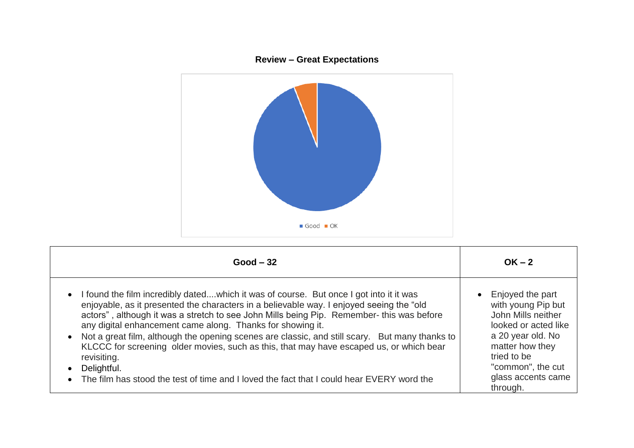

| $Good - 32$                                                                                                                                                                                                                                                                                                                                                                                                                                                                                                                                                                | $OK - 2$                                                                                                                                                                      |
|----------------------------------------------------------------------------------------------------------------------------------------------------------------------------------------------------------------------------------------------------------------------------------------------------------------------------------------------------------------------------------------------------------------------------------------------------------------------------------------------------------------------------------------------------------------------------|-------------------------------------------------------------------------------------------------------------------------------------------------------------------------------|
| • I found the film incredibly datedwhich it was of course. But once I got into it it was<br>enjoyable, as it presented the characters in a believable way. I enjoyed seeing the "old<br>actors", although it was a stretch to see John Mills being Pip. Remember- this was before<br>any digital enhancement came along. Thanks for showing it.<br>Not a great film, although the opening scenes are classic, and still scary. But many thanks to<br>KLCCC for screening older movies, such as this, that may have escaped us, or which bear<br>revisiting.<br>Delightful. | Enjoyed the part<br>$\bullet$<br>with young Pip but<br>John Mills neither<br>looked or acted like<br>a 20 year old. No<br>matter how they<br>tried to be<br>"common", the cut |
| The film has stood the test of time and I loved the fact that I could hear EVERY word the                                                                                                                                                                                                                                                                                                                                                                                                                                                                                  | glass accents came<br>through.                                                                                                                                                |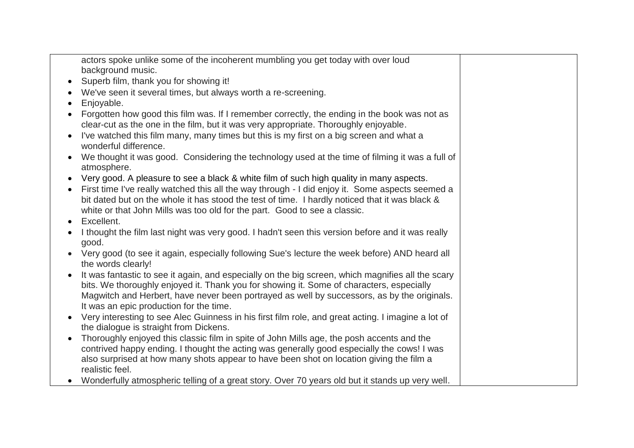actors spoke unlike some of the incoherent mumbling you get today with over loud background music.

- Superb film, thank you for showing it!
- We've seen it several times, but always worth a re-screening.
- Enjoyable.
- Forgotten how good this film was. If I remember correctly, the ending in the book was not as clear-cut as the one in the film, but it was very appropriate. Thoroughly enjoyable.
- I've watched this film many, many times but this is my first on a big screen and what a wonderful difference.
- We thought it was good. Considering the technology used at the time of filming it was a full of atmosphere.
- Very good. A pleasure to see a black & white film of such high quality in many aspects.
- First time I've really watched this all the way through I did enjoy it. Some aspects seemed a bit dated but on the whole it has stood the test of time. I hardly noticed that it was black & white or that John Mills was too old for the part. Good to see a classic.
- Excellent.
- I thought the film last night was very good. I hadn't seen this version before and it was really good.
- Very good (to see it again, especially following Sue's lecture the week before) AND heard all the words clearly!
- It was fantastic to see it again, and especially on the big screen, which magnifies all the scary bits. We thoroughly enjoyed it. Thank you for showing it. Some of characters, especially Magwitch and Herbert, have never been portrayed as well by successors, as by the originals. It was an epic production for the time.
- Very interesting to see Alec Guinness in his first film role, and great acting. I imagine a lot of the dialogue is straight from Dickens.
- Thoroughly enjoved this classic film in spite of John Mills age, the posh accents and the contrived happy ending. I thought the acting was generally good especially the cows! I was also surprised at how many shots appear to have been shot on location giving the film a realistic feel.
- Wonderfully atmospheric telling of a great story. Over 70 years old but it stands up very well.